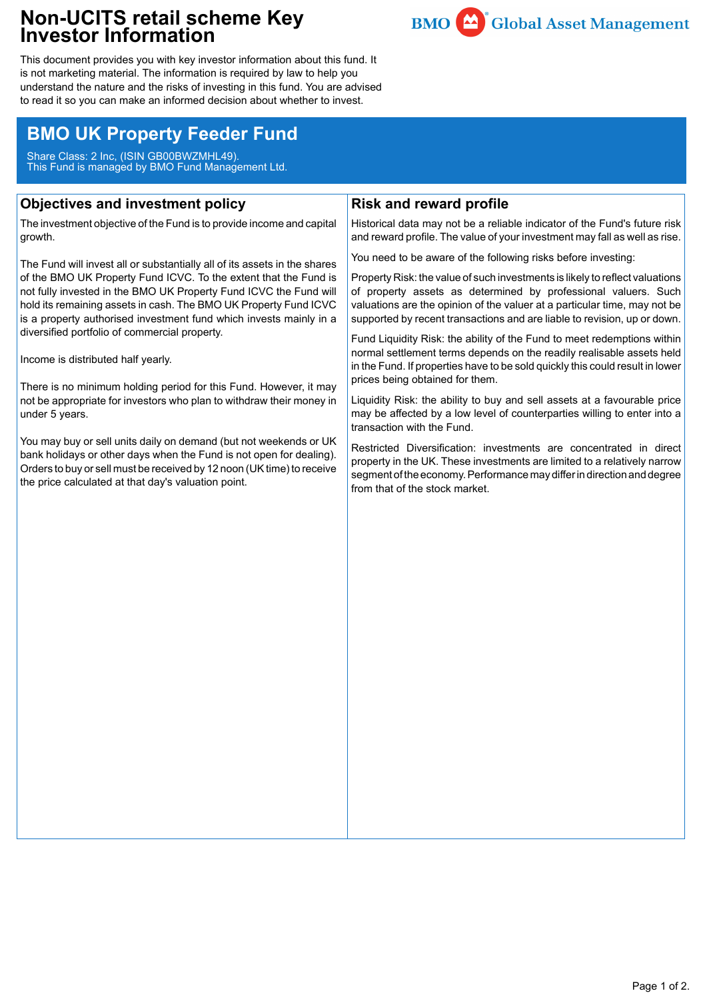## **Non-UCITS retail scheme Key Investor Information**



This document provides you with key investor information about this fund. It is not marketing material. The information is required by law to help you understand the nature and the risks of investing in this fund. You are advised to read it so you can make an informed decision about whether to invest.

# **BMO UK Property Feeder Fund**

Share Class: 2 Inc, (ISIN GB00BWZMHL49). This Fund is managed by BMO Fund Management Ltd.

## **Objectives and investment policy**

The investment objective of the Fund is to provide income and capital growth.

The Fund will invest all or substantially all of its assets in the shares of the BMO UK Property Fund ICVC. To the extent that the Fund is not fully invested in the BMO UK Property Fund ICVC the Fund will hold its remaining assets in cash. The BMO UK Property Fund ICVC is a property authorised investment fund which invests mainly in a diversified portfolio of commercial property.

Income is distributed half yearly.

There is no minimum holding period for this Fund. However, it may not be appropriate for investors who plan to withdraw their money in under 5 years.

You may buy or sell units daily on demand (but not weekends or UK bank holidays or other days when the Fund is not open for dealing). Orders to buy or sell must be received by 12 noon (UK time) to receive the price calculated at that day's valuation point.

## **Risk and reward profile**

Historical data may not be a reliable indicator of the Fund's future risk and reward profile. The value of your investment may fall as well as rise.

You need to be aware of the following risks before investing:

Property Risk: the value of such investments is likely to reflect valuations of property assets as determined by professional valuers. Such valuations are the opinion of the valuer at a particular time, may not be supported by recent transactions and are liable to revision, up or down.

Fund Liquidity Risk: the ability of the Fund to meet redemptions within normal settlement terms depends on the readily realisable assets held in the Fund. If properties have to be sold quickly this could result in lower prices being obtained for them.

Liquidity Risk: the ability to buy and sell assets at a favourable price may be affected by a low level of counterparties willing to enter into a transaction with the Fund.

Restricted Diversification: investments are concentrated in direct property in the UK. These investments are limited to a relatively narrow segment of the economy. Performance may differ in direction and degree from that of the stock market.